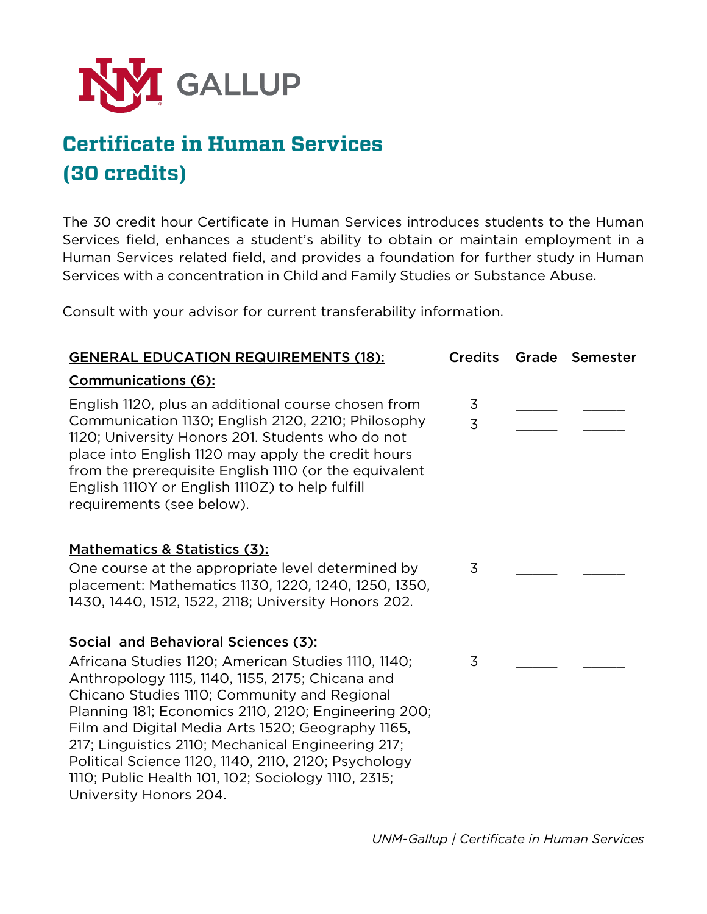

# **Certificate in Human Services (30 credits)**

The 30 credit hour Certificate in Human Services introduces students to the Human Services field, enhances a student's ability to obtain or maintain employment in a Human Services related field, and provides a foundation for further study in Human Services with a concentration in Child and Family Studies or Substance Abuse.

Consult with your advisor for current transferability information.

| <b>GENERAL EDUCATION REQUIREMENTS (18):</b>                                                                                                                                                                                                                                                                                                                                                                                                                                                                | <b>Credits</b>      | Grade | <b>Semester</b> |
|------------------------------------------------------------------------------------------------------------------------------------------------------------------------------------------------------------------------------------------------------------------------------------------------------------------------------------------------------------------------------------------------------------------------------------------------------------------------------------------------------------|---------------------|-------|-----------------|
| <b>Communications (6):</b>                                                                                                                                                                                                                                                                                                                                                                                                                                                                                 |                     |       |                 |
| English 1120, plus an additional course chosen from<br>Communication 1130; English 2120, 2210; Philosophy<br>1120; University Honors 201. Students who do not<br>place into English 1120 may apply the credit hours<br>from the prerequisite English 1110 (or the equivalent<br>English 1110Y or English 1110Z) to help fulfill<br>requirements (see below).                                                                                                                                               | 3<br>$\overline{3}$ |       |                 |
| Mathematics & Statistics (3):<br>One course at the appropriate level determined by<br>placement: Mathematics 1130, 1220, 1240, 1250, 1350,<br>1430, 1440, 1512, 1522, 2118; University Honors 202.                                                                                                                                                                                                                                                                                                         | 3                   |       |                 |
| Social and Behavioral Sciences (3):<br>Africana Studies 1120; American Studies 1110, 1140;<br>Anthropology 1115, 1140, 1155, 2175; Chicana and<br>Chicano Studies 1110; Community and Regional<br>Planning 181; Economics 2110, 2120; Engineering 200;<br>Film and Digital Media Arts 1520; Geography 1165,<br>217; Linguistics 2110; Mechanical Engineering 217;<br>Political Science 1120, 1140, 2110, 2120; Psychology<br>1110; Public Health 101, 102; Sociology 1110, 2315;<br>University Honors 204. | 3                   |       |                 |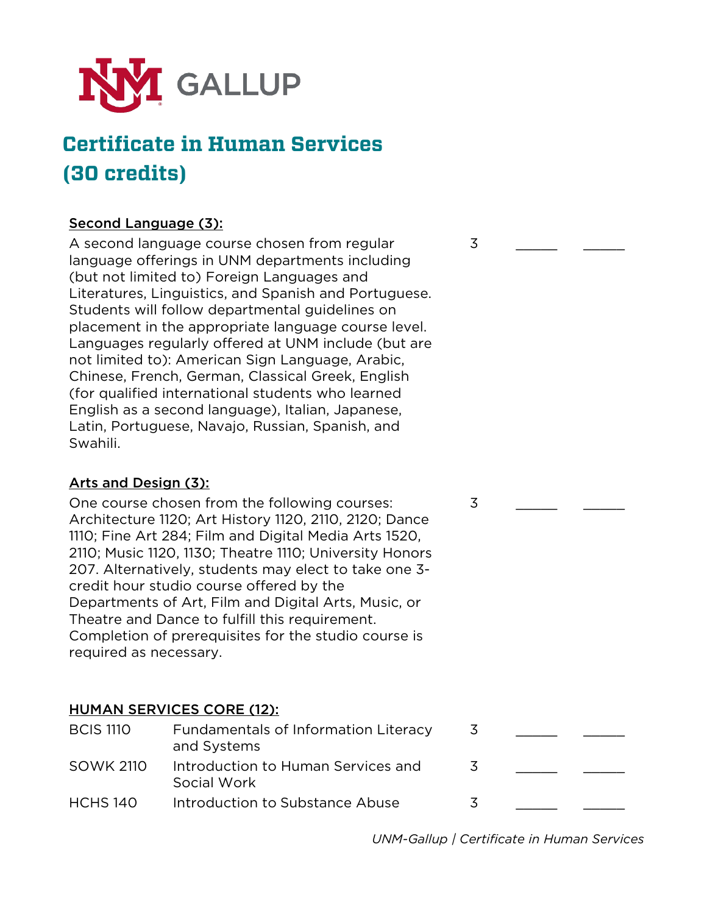

### **Certificate in Human Services (30 credits)**

#### Second Language (3):

A second language course chosen from regular language offerings in UNM departments including (but not limited to) Foreign Languages and Literatures, Linguistics, and Spanish and Portuguese. Students will follow departmental guidelines on placement in the appropriate language course level. Languages regularly offered at UNM include (but are not limited to): American Sign Language, Arabic, Chinese, French, German, Classical Greek, English (for qualified international students who learned English as a second language), Italian, Japanese, Latin, Portuguese, Navajo, Russian, Spanish, and Swahili.

#### Arts and Design (3):

One course chosen from the following courses: Architecture 1120; Art History 1120, 2110, 2120; Dance 1110; Fine Art 284; Film and Digital Media Arts 1520, 2110; Music 1120, 1130; Theatre 1110; University Honors 207. Alternatively, students may elect to take one 3 credit hour studio course offered by the Departments of Art, Film and Digital Arts, Music, or Theatre and Dance to fulfill this requirement. Completion of prerequisites for the studio course is required as necessary.

#### HUMAN SERVICES CORE (12):

| <b>BCIS 1110</b> | Fundamentals of Information Literacy<br>and Systems |   |  |
|------------------|-----------------------------------------------------|---|--|
| <b>SOWK 2110</b> | Introduction to Human Services and<br>Social Work   | 3 |  |
| <b>HCHS 140</b>  | Introduction to Substance Abuse                     | 3 |  |

*UNM-Gallup | Certificate in Human Services*

3 \_\_\_\_\_\_\_\_ \_\_\_\_\_\_

3 \_\_\_\_\_\_\_\_ \_\_\_\_\_\_